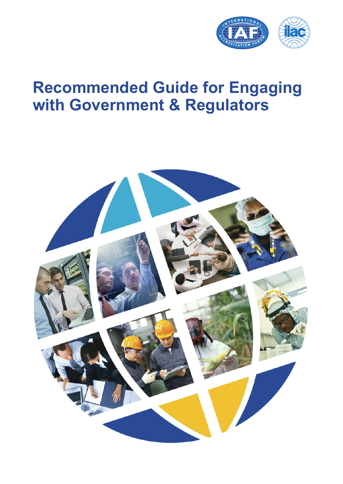

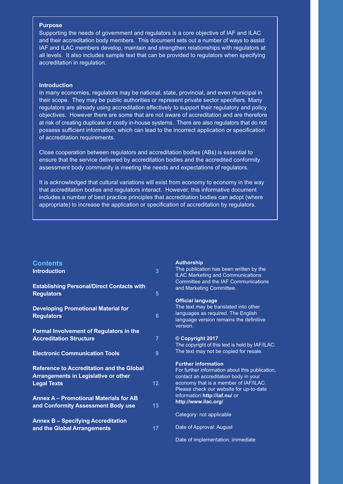#### Recommended guide for engaging with e Purpose<br>December 2002 - Carlos Carlos **Purpose**

Supporting the needs of government and regulators is a core objective of IAF and ILAC and their accreditation body members. This document sets out a number of ways to assist IAF and ILAC members develop, maintain and strengthen relationships with regulators at all levels. It also includes sample text that can be provided to regulators when specifying accreditation in regulation.

#### **Introduction**

**Introduction** In many economies, regulators may be national, state, provincial, and even municipal in  $\vert$  objectives. However there are some that are not aware of accreditation and are therefore  $\vert$ possess sufficient information, which can lead to the incorrect application or specification ment Bodies - CAB) and to increase awareness and understanding in the marketplace of the bene-of accreditation requirements. their scope. They may be public authorities or represent private sector specifiers. Many regulators are already using accreditation effectively to support their regulatory and policy at risk of creating duplicate or costly in-house systems. There are also regulators that do not

assessment body community is meeting the needs and expectations of regulators. Close cooperation between regulators and accreditation bodies (ABs) is essential to ensure that the service delivered by accreditation bodies and the accredited conformity

It is acknowledged that cultural variations will exist from economy to economy in the way. The matrice of the way includes a number of best practice principles that accreditation bodies can adopt (where that accreditation bodies and regulators interact. However, this informative document appropriate) to increase the application or specification of accreditation by regulators.

cific needs of the target group, whether that be manufacturers operating in the global market or

In recent years, public authorities have increased their use of services from accredited CABs to im-

#### $\textsf{Contents} \hspace{2em} \textsf{Author}$ **Contents**

| <b>Introduction</b>                                                                                                   | $\overline{3}$  | The publication has been written by the<br><b>ILAC Marketing and Communications</b><br>Committee and the IAF Communications                                                                                |
|-----------------------------------------------------------------------------------------------------------------------|-----------------|------------------------------------------------------------------------------------------------------------------------------------------------------------------------------------------------------------|
| <b>Establishing Personal/Direct Contacts with</b><br><b>Regulators</b>                                                | $5\phantom{.0}$ | and Marketing Committee.                                                                                                                                                                                   |
| <b>Developing Promotional Material for</b><br><b>Regulators</b><br>Formal Involvement of Regulators in the            | 6               | <b>Official language</b><br>The text may be translated into other<br>languages as required. The English<br>language version remains the definitive<br>version.                                             |
| <b>Accreditation Structure</b>                                                                                        | $\overline{7}$  | © Copyright 2017<br>The copyright of this text is held by IAF/ILAC.                                                                                                                                        |
| <b>Electronic Communication Tools</b>                                                                                 | 9               | The text may not be copied for resale.                                                                                                                                                                     |
| <b>Reference to Accreditation and the Global</b><br><b>Arrangements in Legislative or other</b><br><b>Legal Texts</b> | 12 <sub>2</sub> | <b>Further information</b><br>For further information about this publication,<br>contact an accreditation body in your<br>economy that is a member of IAF/ILAC.<br>Please check our website for up-to-date |
| <b>Annex A - Promotional Materials for AB</b><br>and Conformity Assessment Body use                                   | 13              | information http://iaf.nu/ or<br>http://www.ilac.org/                                                                                                                                                      |
| <b>Annex B - Specifying Accreditation</b>                                                                             |                 | Category: not applicable                                                                                                                                                                                   |
| and the Global Arrangements                                                                                           | 17              | Date of Approval: August                                                                                                                                                                                   |

fits of using services from accredited CABs.

#### **Authorship**

#### **Official language**

#### **© Copyright 2017**

Date of implementation: immediate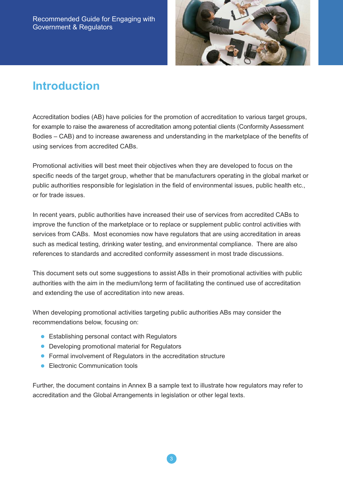

### **Introduction**

Accreditation bodies (AB) have policies for the promotion of accreditation to various target groups, for example to raise the awareness of accreditation among potential clients (Conformity Assessment Bodies – CAB) and to increase awareness and understanding in the marketplace of the benefits of using services from accredited CABs.

Promotional activities will best meet their objectives when they are developed to focus on the specific needs of the target group, whether that be manufacturers operating in the global market or public authorities responsible for legislation in the field of environmental issues, public health etc., or for trade issues.

In recent years, public authorities have increased their use of services from accredited CABs to improve the function of the marketplace or to replace or supplement public control activities with services from CABs. Most economies now have regulators that are using accreditation in areas such as medical testing, drinking water testing, and environmental compliance. There are also references to standards and accredited conformity assessment in most trade discussions.

This document sets out some suggestions to assist ABs in their promotional activities with public authorities with the aim in the medium/long term of facilitating the continued use of accreditation and extending the use of accreditation into new areas.

When developing promotional activities targeting public authorities ABs may consider the recommendations below, focusing on:

- Establishing personal contact with Regulators
- Developing promotional material for Regulators
- Formal involvement of Regulators in the accreditation structure
- Electronic Communication tools

Further, the document contains in Annex B a sample text to illustrate how regulators may refer to accreditation and the Global Arrangements in legislation or other legal texts.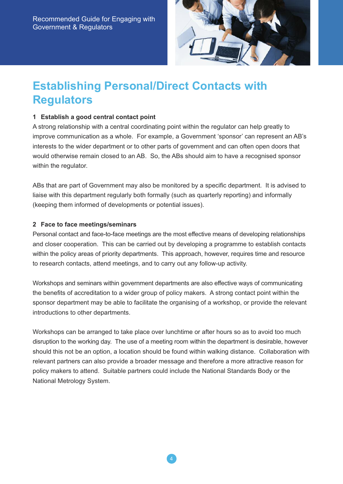

# **Establishing Personal/Direct Contacts with Regulators**

### **1 Establish a good central contact point**

A strong relationship with a central coordinating point within the regulator can help greatly to improve communication as a whole. For example, a Government 'sponsor' can represent an AB's interests to the wider department or to other parts of government and can often open doors that would otherwise remain closed to an AB. So, the ABs should aim to have a recognised sponsor within the regulator.

ABs that are part of Government may also be monitored by a specific department. It is advised to liaise with this department regularly both formally (such as quarterly reporting) and informally (keeping them informed of developments or potential issues).

#### **2 Face to face meetings/seminars**

Personal contact and face-to-face meetings are the most effective means of developing relationships and closer cooperation. This can be carried out by developing a programme to establish contacts within the policy areas of priority departments. This approach, however, requires time and resource to research contacts, attend meetings, and to carry out any follow-up activity.

Workshops and seminars within government departments are also effective ways of communicating the benefits of accreditation to a wider group of policy makers. A strong contact point within the sponsor department may be able to facilitate the organising of a workshop, or provide the relevant introductions to other departments.

Workshops can be arranged to take place over lunchtime or after hours so as to avoid too much disruption to the working day. The use of a meeting room within the department is desirable, however should this not be an option, a location should be found within walking distance. Collaboration with relevant partners can also provide a broader message and therefore a more attractive reason for policy makers to attend. Suitable partners could include the National Standards Body or the National Metrology System.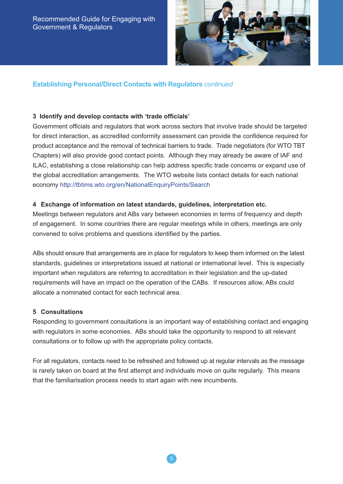

### **Establishing Personal/Direct Contacts with Regulators** *continued*

#### **3 Identify and develop contacts with 'trade officials'**

Government officials and regulators that work across sectors that involve trade should be targeted for direct interaction, as accredited conformity assessment can provide the confidence required for product acceptance and the removal of technical barriers to trade. Trade negotiators (for WTO TBT Chapters) will also provide good contact points. Although they may already be aware of IAF and ILAC, establishing a close relationship can help address specific trade concerns or expand use of the global accreditation arrangements. The WTO website lists contact details for each national economy http://tbtims.wto.org/en/NationalEnquiryPoints/Search

#### **4 Exchange of information on latest standards, guidelines, interpretation etc.**

Meetings between regulators and ABs vary between economies in terms of frequency and depth of engagement. In some countries there are regular meetings while in others, meetings are only convened to solve problems and questions identified by the parties.

ABs should ensure that arrangements are in place for regulators to keep them informed on the latest standards, guidelines or interpretations issued at national or international level. This is especially important when regulators are referring to accreditation in their legislation and the up-dated requirements will have an impact on the operation of the CABs. If resources allow, ABs could allocate a nominated contact for each technical area.

#### **5 Consultations**

Responding to government consultations is an important way of establishing contact and engaging with regulators in some economies. ABs should take the opportunity to respond to all relevant consultations or to follow up with the appropriate policy contacts.

For all regulators, contacts need to be refreshed and followed up at regular intervals as the message is rarely taken on board at the first attempt and individuals move on quite regularly. This means that the familiarisation process needs to start again with new incumbents.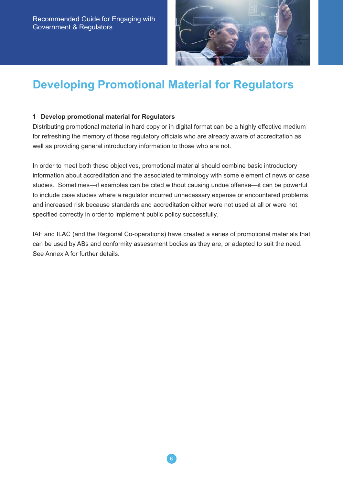

# **Developing Promotional Material for Regulators**

#### **1 Develop promotional material for Regulators**

Distributing promotional material in hard copy or in digital format can be a highly effective medium for refreshing the memory of those regulatory officials who are already aware of accreditation as well as providing general introductory information to those who are not.

In order to meet both these objectives, promotional material should combine basic introductory information about accreditation and the associated terminology with some element of news or case studies. Sometimes—if examples can be cited without causing undue offense—it can be powerful to include case studies where a regulator incurred unnecessary expense or encountered problems and increased risk because standards and accreditation either were not used at all or were not specified correctly in order to implement public policy successfully.

IAF and ILAC (and the Regional Co-operations) have created a series of promotional materials that can be used by ABs and conformity assessment bodies as they are, or adapted to suit the need. See Annex A for further details.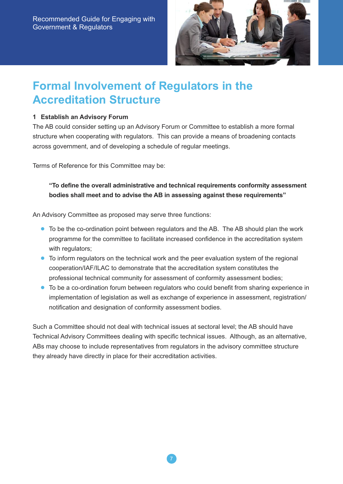

### **Formal Involvement of Regulators in the Accreditation Structure**

### **1 Establish an Advisory Forum**

The AB could consider setting up an Advisory Forum or Committee to establish a more formal structure when cooperating with regulators. This can provide a means of broadening contacts across government, and of developing a schedule of regular meetings.

Terms of Reference for this Committee may be:

### **"To define the overall administrative and technical requirements conformity assessment bodies shall meet and to advise the AB in assessing against these requirements"**

An Advisory Committee as proposed may serve three functions:

- To be the co-ordination point between regulators and the AB. The AB should plan the work programme for the committee to facilitate increased confidence in the accreditation system with regulators;
- To inform regulators on the technical work and the peer evaluation system of the regional cooperation/IAF/ILAC to demonstrate that the accreditation system constitutes the professional technical community for assessment of conformity assessment bodies;
- To be a co-ordination forum between regulators who could benefit from sharing experience in implementation of legislation as well as exchange of experience in assessment, registration/ notification and designation of conformity assessment bodies.

Such a Committee should not deal with technical issues at sectoral level; the AB should have Technical Advisory Committees dealing with specific technical issues. Although, as an alternative, ABs may choose to include representatives from regulators in the advisory committee structure they already have directly in place for their accreditation activities.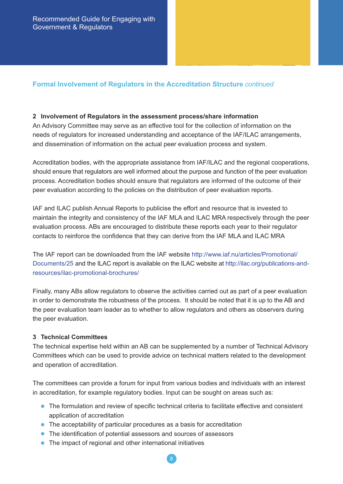### **Formal Involvement of Regulators in the Accreditation Structure** *continued*

#### **2 Involvement of Regulators in the assessment process/share information**

An Advisory Committee may serve as an effective tool for the collection of information on the needs of regulators for increased understanding and acceptance of the IAF/ILAC arrangements, and dissemination of information on the actual peer evaluation process and system.

Accreditation bodies, with the appropriate assistance from IAF/ILAC and the regional cooperations, should ensure that regulators are well informed about the purpose and function of the peer evaluation process. Accreditation bodies should ensure that regulators are informed of the outcome of their peer evaluation according to the policies on the distribution of peer evaluation reports.

IAF and ILAC publish Annual Reports to publicise the effort and resource that is invested to maintain the integrity and consistency of the IAF MLA and ILAC MRA respectively through the peer evaluation process. ABs are encouraged to distribute these reports each year to their regulator contacts to reinforce the confidence that they can derive from the IAF MLA and ILAC MRA

The IAF report can be downloaded from the IAF website http://www.iaf.nu/articles/Promotional/ Documents/25 and the ILAC report is available on the ILAC website at http://ilac.org/publications-andresources/ilac-promotional-brochures/

Finally, many ABs allow regulators to observe the activities carried out as part of a peer evaluation in order to demonstrate the robustness of the process. It should be noted that it is up to the AB and the peer evaluation team leader as to whether to allow regulators and others as observers during the peer evaluation.

#### **3 Technical Committees**

The technical expertise held within an AB can be supplemented by a number of Technical Advisory Committees which can be used to provide advice on technical matters related to the development and operation of accreditation.

The committees can provide a forum for input from various bodies and individuals with an interest in accreditation, for example regulatory bodies. Input can be sought on areas such as:

- The formulation and review of specific technical criteria to facilitate effective and consistent application of accreditation
- The acceptability of particular procedures as a basis for accreditation
- The identification of potential assessors and sources of assessors
- The impact of regional and other international initiatives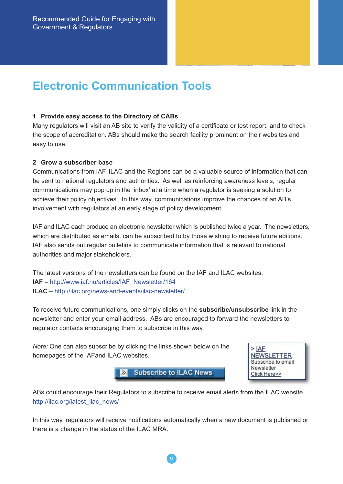### **Electronic Communication Tools**

#### **1 Provide easy access to the Directory of CABs**

Many regulators will visit an AB site to verify the validity of a certificate or test report, and to check the scope of accreditation. ABs should make the search facility prominent on their websites and easy to use.

#### **2 Grow a subscriber base**

Communications from IAF, ILAC and the Regions can be a valuable source of information that can be sent to national regulators and authorities. As well as reinforcing awareness levels, regular communications may pop up in the 'inbox' at a time when a regulator is seeking a solution to achieve their policy objectives. In this way, communications improve the chances of an AB's involvement with regulators at an early stage of policy development.

IAF and ILAC each produce an electronic newsletter which is published twice a year. The newsletters, which are distributed as emails, can be subscribed to by those wishing to receive future editions. IAF also sends out regular bulletins to communicate information that is relevant to national authorities and major stakeholders.

The latest versions of the newsletters can be found on the IAF and ILAC websites. **IAF** – http://www.iaf.nu/articles/IAF\_Newsletter/164 **ILAC** – http://ilac.org/news-and-events/ilac-newsletter/

To receive future communications, one simply clicks on the **subscribe/unsubscribe** link in the newsletter and enter your email address. ABs are encouraged to forward the newsletters to regulator contacts encouraging them to subscribe in this way.

*Note:* One can also subscribe by clicking the links shown below on the homepages of the IAFand ILAC websites.

> **Subscribe to ILAC News**  $\mathbb{R}$



ABs could encourage their Regulators to subscribe to receive email alerts from the ILAC website http://ilac.org/latest\_ilac\_news/

In this way, regulators will receive notifications automatically when a new document is published or there is a change in the status of the ILAC MRA.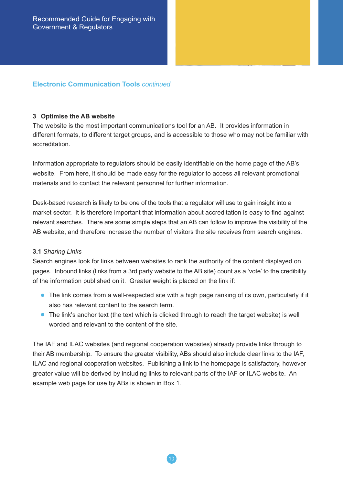### **Electronic Communication Tools** *continued*

#### **3 Optimise the AB website**

The website is the most important communications tool for an AB. It provides information in different formats, to different target groups, and is accessible to those who may not be familiar with accreditation.

Information appropriate to regulators should be easily identifiable on the home page of the AB's website. From here, it should be made easy for the regulator to access all relevant promotional materials and to contact the relevant personnel for further information.

Desk-based research is likely to be one of the tools that a regulator will use to gain insight into a market sector. It is therefore important that information about accreditation is easy to find against relevant searches. There are some simple steps that an AB can follow to improve the visibility of the AB website, and therefore increase the number of visitors the site receives from search engines.

#### **3.1** *Sharing Links*

Search engines look for links between websites to rank the authority of the content displayed on pages. Inbound links (links from a 3rd party website to the AB site) count as a 'vote' to the credibility of the information published on it. Greater weight is placed on the link if:

- The link comes from a well-respected site with a high page ranking of its own, particularly if it also has relevant content to the search term.
- The link's anchor text (the text which is clicked through to reach the target website) is well worded and relevant to the content of the site.

The IAF and ILAC websites (and regional cooperation websites) already provide links through to their AB membership. To ensure the greater visibility, ABs should also include clear links to the IAF, ILAC and regional cooperation websites. Publishing a link to the homepage is satisfactory, however greater value will be derived by including links to relevant parts of the IAF or ILAC website. An example web page for use by ABs is shown in Box 1.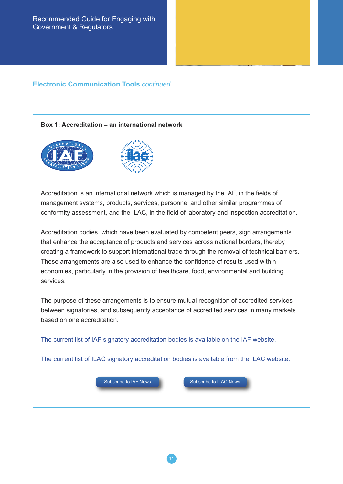### **Electronic Communication Tools** *continued*

#### **Box 1: Accreditation – an international network**



Accreditation is an international network which is managed by the IAF, in the fields of management systems, products, services, personnel and other similar programmes of conformity assessment, and the ILAC, in the field of laboratory and inspection accreditation.

Accreditation bodies, which have been evaluated by competent peers, sign arrangements that enhance the acceptance of products and services across national borders, thereby creating a framework to support international trade through the removal of technical barriers. These arrangements are also used to enhance the confidence of results used within economies, particularly in the provision of healthcare, food, environmental and building services.

The purpose of these arrangements is to ensure mutual recognition of accredited services between signatories, and subsequently acceptance of accredited services in many markets based on one accreditation.

The current list of IAF signatory accreditation bodies is available on the IAF website.

The current list of ILAC signatory accreditation bodies is available from the ILAC website.

11

Subscribe to IAF News Subscribe to ILAC News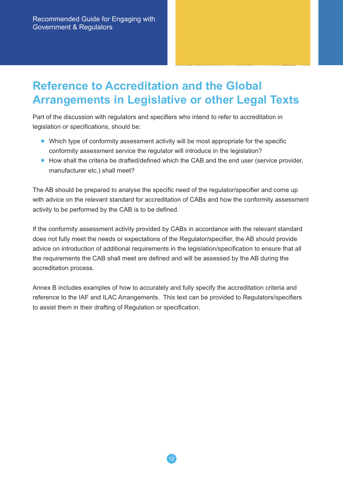# **Reference to Accreditation and the Global Arrangements in Legislative or other Legal Texts**

Part of the discussion with regulators and specifiers who intend to refer to accreditation in legislation or specifications, should be:

- Which type of conformity assessment activity will be most appropriate for the specific conformity assessment service the regulator will introduce in the legislation?
- How shall the criteria be drafted/defined which the CAB and the end user (service provider, manufacturer etc.) shall meet?

The AB should be prepared to analyse the specific need of the regulator/specifier and come up with advice on the relevant standard for accreditation of CABs and how the conformity assessment activity to be performed by the CAB is to be defined.

If the conformity assessment activity provided by CABs in accordance with the relevant standard does not fully meet the needs or expectations of the Regulator/specifier, the AB should provide advice on introduction of additional requirements in the legislation/specification to ensure that all the requirements the CAB shall meet are defined and will be assessed by the AB during the accreditation process.

Annex B includes examples of how to accurately and fully specify the accreditation criteria and reference to the IAF and ILAC Arrangements. This text can be provided to Regulators/specifiers to assist them in their drafting of Regulation or specification.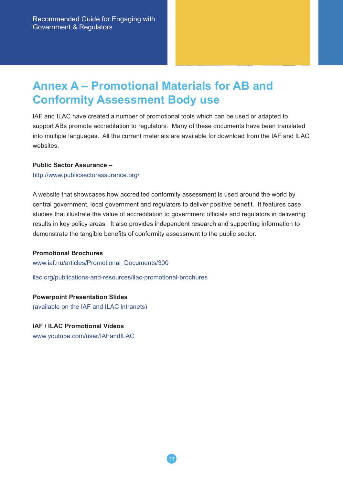# **Annex A – Promotional Materials for AB and Conformity Assessment Body use**

IAF and ILAC have created a number of promotional tools which can be used or adapted to support ABs promote accreditation to regulators. Many of these documents have been translated into multiple languages. All the current materials are available for download from the IAF and ILAC websites.

#### **Public Sector Assurance –**

http://www.publicsectorassurance.org/

A website that showcases how accredited conformity assessment is used around the world by central government, local government and regulators to deliver positive benefit. It features case studies that illustrate the value of accreditation to government officials and regulators in delivering results in key policy areas. It also provides independent research and supporting information to demonstrate the tangible benefits of conformity assessment to the public sector.

#### **Promotional Brochures**

www.iaf.nu/articles/Promotional\_Documents/300

ilac.org/publications-and-resources/ilac-promotional-brochures

**Powerpoint Presentation Slides** (available on the IAF and ILAC intranets)

#### **IAF / ILAC Promotional Videos**

www.youtube.com/user/IAFandILAC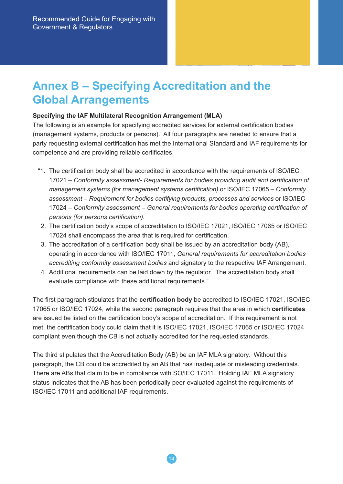# **Annex B – Specifying Accreditation and the Global Arrangements**

#### **Specifying the IAF Multilateral Recognition Arrangement (MLA)**

The following is an example for specifying accredited services for external certification bodies (management systems, products or persons). All four paragraphs are needed to ensure that a party requesting external certification has met the International Standard and IAF requirements for competence and are providing reliable certificates.

- "1. The certification body shall be accredited in accordance with the requirements of ISO/IEC 17021 – *Conformity assessment- Requirements for bodies providing audit and certification of management systems (for management systems certification)* or ISO/IEC 17065 *– Conformity assessment – Requirement for bodies certifying products, processes and services* or ISO/IEC 17024 *– Conformity assessment – General requirements for bodies operating certification of persons (for persons certification).*
- 2. The certification body's scope of accreditation to ISO/IEC 17021, ISO/IEC 17065 or ISO/IEC 17024 shall encompass the area that is required for certification.
- 3. The accreditation of a certification body shall be issued by an accreditation body (AB), operating in accordance with ISO/IEC 17011, *General requirements for accreditation bodies accrediting conformity assessment bodies* and signatory to the respective IAF Arrangement.
- 4. Additional requirements can be laid down by the regulator. The accreditation body shall evaluate compliance with these additional requirements."

The first paragraph stipulates that the **certification body** be accredited to ISO/IEC 17021, ISO/IEC 17065 or ISO/IEC 17024, while the second paragraph requires that the area in which **certificates** are issued be listed on the certification body's scope of accreditation. If this requirement is not met, the certification body could claim that it is ISO/IEC 17021, ISO/IEC 17065 or ISO/IEC 17024 compliant even though the CB is not actually accredited for the requested standards.

The third stipulates that the Accreditation Body (AB) be an IAF MLA signatory. Without this paragraph, the CB could be accredited by an AB that has inadequate or misleading credentials. There are ABs that claim to be in compliance with SO/IEC 17011. Holding IAF MLA signatory status indicates that the AB has been periodically peer-evaluated against the requirements of ISO/IEC 17011 and additional IAF requirements.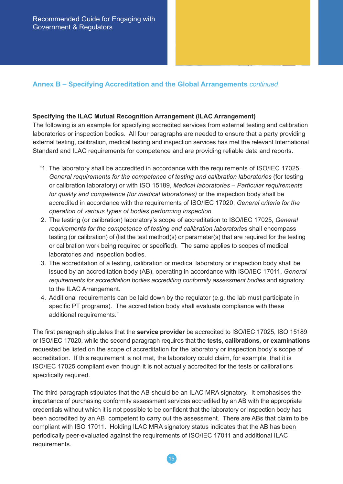### **Annex B – Specifying Accreditation and the Global Arrangements** *continued*

#### **Specifying the ILAC Mutual Recognition Arrangement (ILAC Arrangement)**

The following is an example for specifying accredited services from external testing and calibration laboratories or inspection bodies. All four paragraphs are needed to ensure that a party providing external testing, calibration, medical testing and inspection services has met the relevant International Standard and ILAC requirements for competence and are providing reliable data and reports.

- "1. The laboratory shall be accredited in accordance with the requirements of ISO/IEC 17025, *General requirements for the competence of testing and calibration laboratories* (for testing or calibration laboratory) or with ISO 15189, *Medical laboratories – Particular requirements for quality and competence (for medical laboratories)* or the inspection body shall be accredited in accordance with the requirements of ISO/IEC 17020, *General criteria for the operation of various types of bodies performing inspection.*
- 2. The testing (or calibration) laboratory's scope of accreditation to ISO/IEC 17025, *General requirements for the competence of testing and calibration laboratori*es shall encompass testing (or calibration) of (list the test method(s) or parameter(s) that are required for the testing or calibration work being required or specified). The same applies to scopes of medical laboratories and inspection bodies.
- 3. The accreditation of a testing, calibration or medical laboratory or inspection body shall be issued by an accreditation body (AB), operating in accordance with ISO/IEC 17011, *General requirements for accreditation bodies accrediting conformity assessment bodies* and signatory to the ILAC Arrangement.
- 4. Additional requirements can be laid down by the regulator (e.g. the lab must participate in specific PT programs). The accreditation body shall evaluate compliance with these additional requirements."

The first paragraph stipulates that the **service provider** be accredited to ISO/IEC 17025, ISO 15189 or ISO/IEC 17020, while the second paragraph requires that the **tests, calibrations, or examinations** requested be listed on the scope of accreditation for the laboratory or inspection body´s scope of accreditation. If this requirement is not met, the laboratory could claim, for example, that it is ISO/IEC 17025 compliant even though it is not actually accredited for the tests or calibrations specifically required.

The third paragraph stipulates that the AB should be an ILAC MRA signatory. It emphasises the importance of purchasing conformity assessment services accredited by an AB with the appropriate credentials without which it is not possible to be confident that the laboratory or inspection body has been accredited by an AB competent to carry out the assessment. There are ABs that claim to be compliant with ISO 17011. Holding ILAC MRA signatory status indicates that the AB has been periodically peer-evaluated against the requirements of ISO/IEC 17011 and additional ILAC requirements.